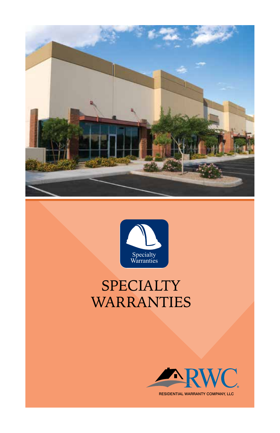



# SPECIALTY WARRANTIES



RESIDENTIAL WARRANTY COMPANY, LLC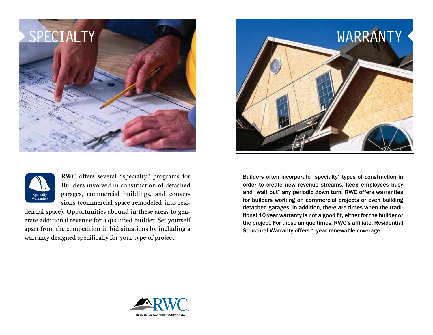



RWC offers several "specialty" programs for Builders involved in construction of detached garages, commercial buildings, and conversions (commercial space remodeled into resi-

dential space). Opportunities abound in these areas to generate additional revenue for a qualified builder. Set yourself apart from the competition in bid situations by including a warranty designed specifically for your type of project.



Builders often incorporate "specialty" types of construction in order to create new revenue streams, keep employees busy and "wait out" any periodic down turn. RWC offers warranties for builders working on commercial projects or even building detached garages. In addition, there are times when the traditional 10 year warranty is not a good fit, either for the builder or the project. For those unique times, RWC's affiliate, Residential Structural Warranty offers 1-year renewable coverage.

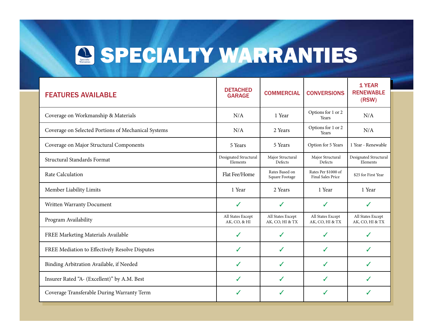## Wa **SPECIALTY WARRANTIES**

| <b>FEATURES AVAILABLE</b>                           | <b>DETACHED</b><br><b>GARAGE</b>  | <b>COMMERCIAL</b>                    | <b>CONVERSIONS</b>                       | <b>1 YEAR</b><br><b>RENEWABLE</b><br>(RSW) |
|-----------------------------------------------------|-----------------------------------|--------------------------------------|------------------------------------------|--------------------------------------------|
| Coverage on Workmanship & Materials                 | N/A                               | 1 Year                               | Options for 1 or 2<br>Years              | N/A                                        |
| Coverage on Selected Portions of Mechanical Systems | N/A                               | 2 Years                              | Options for 1 or 2<br>Years              | N/A                                        |
| Coverage on Major Structural Components             | 5 Years                           | 5 Years                              | Option for 5 Years                       | 1 Year - Renewable                         |
| <b>Structural Standards Format</b>                  | Designated Structural<br>Elements | Major Structural<br>Defects          | Major Structural<br>Defects              | Designated Structural<br>Elements          |
| Rate Calculation                                    | Flat Fee/Home                     | Rates Based on<br>Square Footage     | Rates Per \$1000 of<br>Final Sales Price | \$25 for First Year                        |
| Member Liability Limits                             | 1 Year                            | 2 Years                              | 1 Year                                   | 1 Year                                     |
| Written Warranty Document                           | ✓                                 | ✓                                    | $\checkmark$                             | ✓                                          |
| Program Availability                                | All States Except<br>AK, CO, & HI | All States Except<br>AK, CO, HI & TX | All States Except<br>AK, CO, HI & TX     | All States Except<br>AK, CO, HI & TX       |
| FREE Marketing Materials Available                  | ✓                                 | ✓                                    | ✓                                        |                                            |
| FREE Mediation to Effectively Resolve Disputes      | ✓                                 | J                                    | J                                        | J                                          |
| Binding Arbitration Available, if Needed            | ✓                                 | J                                    | ✓                                        |                                            |
| Insurer Rated "A- (Excellent)" by A.M. Best         | ✓                                 | J                                    | ✓                                        | ✔                                          |
| Coverage Transferable During Warranty Term          | ✓                                 |                                      | ✓                                        | ✓                                          |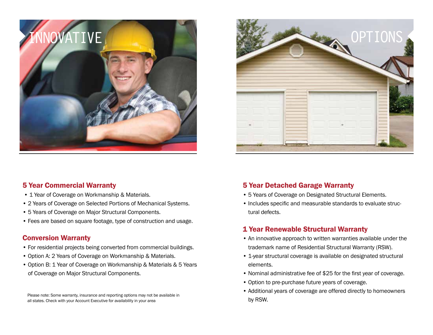



#### 5 Year Commercial Warranty

- 1 Year of Coverage on Workmanship & Materials.
- 2 Years of Coverage on Selected Portions of Mechanical Systems.
- 5 Years of Coverage on Major Structural Components.
- Fees are based on square footage, type of construction and usage.

#### Conversion Warranty

- For residential projects being converted from commercial buildings.
- Option A: 2 Years of Coverage on Workmanship & Materials.
- Option B: 1 Year of Coverage on Workmanship & Materials & 5 Years of Coverage on Major Structural Components.

Please note: Some warranty, insurance and reporting options may not be available in all states. Check with your Account Executive for availability in your area

#### 5 Year Detached Garage Warranty

- 5 Years of Coverage on Designated Structural Elements.
- Includes specific and measurable standards to evaluate structural defects.

#### 1 Year Renewable Structural Warranty

- An innovative approach to written warranties available under the trademark name of Residential Structural Warranty (RSW).
- 1-year structural coverage is available on designated structural elements.
- Nominal administrative fee of \$25 for the first year of coverage.
- Option to pre-purchase future years of coverage.
- Additional years of coverage are offered directly to homeowners by RSW.